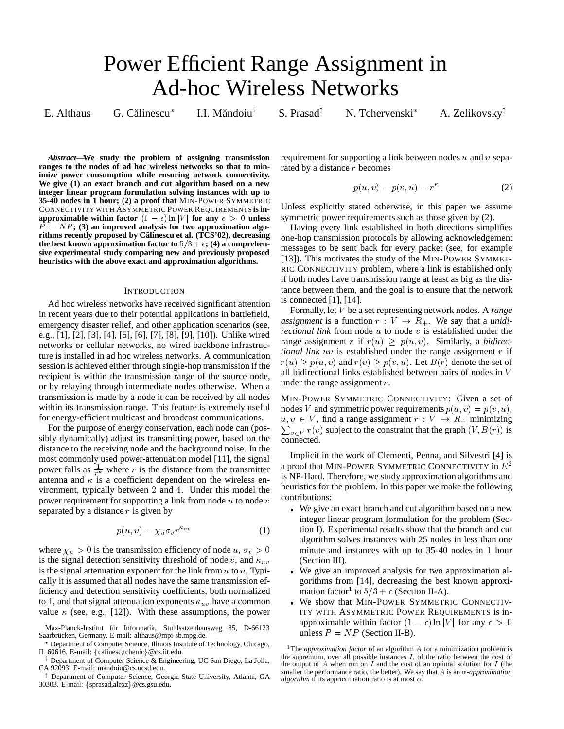# Power Efficient Range Assignment in Ad-hoc Wireless Networks

E. Althaus G. Călinescu<sup>\*</sup>

I.I. Măndoiu<sup>†</sup>

S. Prasad $<sup>\ddag</sup>$ </sup>

N. Tchervenski

A. Zelikovsky $\ddagger$ 

*Abstract***—We study the problem of assigning transmission ranges to the nodes of ad hoc wireless networks so that to minimize power consumption while ensuring network connectivity. We give (1) an exact branch and cut algorithm based on a new integer linear program formulation solving instances with up to 35-40 nodes in 1 hour; (2) a proof that** MIN-POWER SYMMETRIC CONNECTIVITY WITH ASYMMETRIC POWER REQUIREMENTS **is inapproximable within factor**  $(1 - \epsilon) \ln |V|$  for any  $\epsilon > 0$  unless  $\overrightarrow{P} = NP$ ; (3) an improved analysis for two approximation algo**rithms recently proposed by Calinescu et al. (TCS'02), decreasing ˘** the best known approximation factor to  $5/3 + \epsilon$ ; (4) a comprehen**sive experimental study comparing new and previously proposed heuristics with the above exact and approximation algorithms.**

## **INTRODUCTION**

Ad hoc wireless networks have received significant attention in recent years due to their potential applications in battlefield, emergency disaster relief, and other application scenarios (see, e.g., [1], [2], [3], [4], [5], [6], [7], [8], [9], [10]). Unlike wired networks or cellular networks, no wired backbone infrastructure is installed in ad hoc wireless networks. A communication session is achieved either through single-hop transmission if the recipient is within the transmission range of the source node, or by relaying through intermediate nodes otherwise. When a transmission is made by a node it can be received by all nodes within its transmission range. This feature is extremely useful for energy-efficient multicast and broadcast communications.

For the purpose of energy conservation, each node can (possibly dynamically) adjust its transmitting power, based on the distance to the receiving node and the background noise. In the most commonly used power-attenuation model [11], the signal power falls as  $\frac{1}{r^k}$  where r is the distance from the transmitter antenna and  $\kappa$  is a coefficient dependent on the wireless environment, typically between <sup>2</sup> and <sup>4</sup>. Under this model the power requirement for supporting a link from node  $u$  to node  $v$ separated by a distance  $r$  is given by

$$
p(u, v) = \chi_u \sigma_v r^{\kappa_{uv}} \tag{1}
$$

where  $\chi_u > 0$  is the transmission efficiency of node  $u, \sigma_v > 0$ is the signal detection sensitivity threshold of node v, and  $\kappa_{uv}$ is the signal attenuation exponent for the link from  $u$  to  $v$ . Typically it is assumed that all nodes have the same transmission efficiency and detection sensitivity coefficients, both normalized to 1, and that signal attenuation exponents  $\kappa_{uv}$  have a common value  $\kappa$  (see, e.g., [12]). With these assumptions, the power

<sup>†</sup> Department of Computer Science & Engineering, UC San Diego, La Jolla, CA 92093. E-mail: mandoiu@cs.ucsd.edu.

<sup>‡</sup> Department of Computer Science, Georgia State University, Atlanta, GA 30303. E-mail: {sprasad,alexz}@cs.gsu.edu.

requirement for supporting a link between nodes  $u$  and  $v$  separated by a distance <sup>r</sup> becomes

$$
p(u, v) = p(v, u) = r^{\kappa} \tag{2}
$$

Unless explicitly stated otherwise, in this paper we assume symmetric power requirements such as those given by (2).

Having every link established in both directions simplifies one-hop transmission protocols by allowing acknowledgement messages to be sent back for every packet (see, for example [13]). This motivates the study of the MIN-POWER SYMMET-RIC CONNECTIVITY problem, where a link is established only if both nodes have transmission range at least as big as the distance between them, and the goal is to ensure that the network is connected [1], [14].

Formally, let <sup>V</sup> be a set representing network nodes. A *range* assignment is a function  $r: V \to R_+$ . We say that a *unidirectional link* from node  $u$  to node  $v$  is established under the range assignment r if  $r(u) \geq p(u, v)$ . Similarly, a *bidirectional link* uv is established under the range assignment <sup>r</sup> if  $r(u) \ge p(u, v)$  and  $r(v) \ge p(v, u)$ . Let  $B(r)$  denote the set of all bidirectional links established between pairs of nodes in <sup>V</sup> under the range assignment <sup>r</sup>.

MIN-POWER SYMMETRIC CONNECTIVITY: Given a set of nodes V and symmetric power requirements  $p(u, v) = p(v, u)$ ,  $u, v \in V$ , find a range assignment  $r : V \to R_+$  minimizing  $\sum_{v \in V} r(v)$  subject to the constraint that the graph  $(V, B(r))$  is connected.

Implicit in the work of Clementi, Penna, and Silvestri [4] is a proof that MIN-POWER SYMMETRIC CONNECTIVITY in  $E^2$ is NP-Hard. Therefore, we study approximation algorithms and heuristics for the problem. In this paper we make the following contributions:

- We give an exact branch and cut algorithm based on a new integer linear program formulation for the problem (Section I). Experimental results show that the branch and cut algorithm solves instances with 25 nodes in less than one minute and instances with up to 35-40 nodes in 1 hour (Section III).
- We give an improved analysis for two approximation algorithms from [14], decreasing the best known approximation factor<sup>1</sup> to  $5/3 + \epsilon$  (Section II-A).
- We show that MIN-POWER SYMMETRIC CONNECTIV-ITY WITH ASYMMETRIC POWER REQUIREMENTS is inapproximable within factor  $(1 - \epsilon) \ln |V|$  for any  $\epsilon > 0$ unless  $P = NP$  (Section II-B).

Max-Planck-Institut für Informatik, Stuhlsatzenhausweg 85, D-66123 Saarbrücken, Germany. E-mail: althaus@mpi-sb.mpg.de.

Department of Computer Science, Illinois Institute of Technology, Chicago, IL 60616. E-mail: {calinesc,tchenic}@cs.iit.edu.

<sup>&</sup>lt;sup>1</sup>The *approximation factor* of an algorithm A for a minimization problem is the supremum, over all possible instances  $I$ , of the ratio between the cost of the output of A when run on I and the cost of an optimal solution for I (the smaller the performance ratio, the better). We say that  $A$  is an  $\alpha$ -*approximation algorithm* if its approximation ratio is at most  $\alpha$ .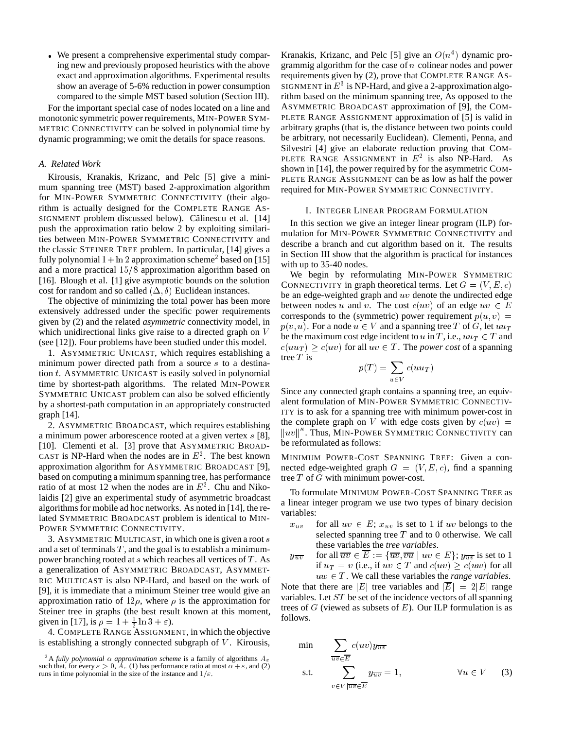We present a comprehensive experimental study comparing new and previously proposed heuristics with the above exact and approximation algorithms. Experimental results show an average of 5-6% reduction in power consumption compared to the simple MST based solution (Section III).

For the important special case of nodes located on a line and monotonic symmetric power requirements, MIN-POWER SYM-METRIC CONNECTIVITY can be solved in polynomial time by dynamic programming; we omit the details for space reasons.

## *A. Related Work*

Kirousis, Kranakis, Krizanc, and Pelc [5] give a minimum spanning tree (MST) based 2-approximation algorithm for MIN-POWER SYMMETRIC CONNECTIVITY (their algorithm is actually designed for the COMPLETE RANGE AS-SIGNMENT problem discussed below). Călinescu et al. [14] push the approximation ratio below 2 by exploiting similarities between MIN-POWER SYMMETRIC CONNECTIVITY and the classic STEINER TREE problem. In particular, [14] gives a fully polynomial  $1 + \ln 2$  approximation scheme<sup>2</sup> based on [15] and a more practical  $15/8$  approximation algorithm based on [16]. Blough et al. [1] give asymptotic bounds on the solution cost for random and so called  $(\Delta, \delta)$  Euclidean instances.

The objective of minimizing the total power has been more extensively addressed under the specific power requirements given by (2) and the related *asymmetric* connectivity model, in which unidirectional links give raise to a directed graph on <sup>V</sup> (see [12]). Four problems have been studied under this model.

1. ASYMMETRIC UNICAST, which requires establishing a minimum power directed path from a source s to a destination <sup>t</sup>. ASYMMETRIC UNICAST is easily solved in polynomial time by shortest-path algorithms. The related MIN-POWER SYMMETRIC UNICAST problem can also be solved efficiently by a shortest-path computation in an appropriately constructed graph [14].

2. ASYMMETRIC BROADCAST, which requires establishing a minimum power arborescence rooted at a given vertex <sup>s</sup> [8], [10]. Clementi et al. [3] prove that ASYMMETRIC BROAD-CAST is NP-Hard when the nodes are in  $E^2$ . The best known approximation algorithm for ASYMMETRIC BROADCAST [9], based on computing a minimum spanning tree, has performance ratio of at most 12 when the nodes are in  $E^2$ . Chu and Nikolaidis [2] give an experimental study of asymmetric broadcast algorithms for mobile ad hoc networks. As noted in [14], the related SYMMETRIC BROADCAST problem is identical to MIN-POWER SYMMETRIC CONNECTIVITY.

3. ASYMMETRIC MULTICAST, in which one is given a root s and a set of terminals  $T$ , and the goal is to establish a minimumpower branching rooted at s which reaches all vertices of T. As  $y_{\overline{uv}}$ a generalization of ASYMMETRIC BROADCAST, ASYMMET-RIC MULTICAST is also NP-Hard, and based on the work of [9], it is immediate that a minimum Steiner tree would give an approximation ratio of  $12\rho$ , where  $\rho$  is the approximation for Steiner tree in graphs (the best result known at this moment, given in [17], is  $\rho = 1 + \frac{1}{2} \ln 3 + \varepsilon$ .

<sup>2</sup> 4. COMPLETE RANGE ASSIGNMENT, in which the objective is establishing a strongly connected subgraph of  $V$ . Kirousis,

Kranakis, Krizanc, and Pelc [5] give an  $O(n^4)$  dynamic programmig algorithm for the case of <sup>n</sup> colinear nodes and power requirements given by (2), prove that COMPLETE RANGE AS-SIGNMENT in  $E^3$  is NP-Hard, and give a 2-approximation algorithm based on the minimum spanning tree, As opposed to the ASYMMETRIC BROADCAST approximation of [9], the COM-PLETE RANGE ASSIGNMENT approximation of [5] is valid in arbitrary graphs (that is, the distance between two points could be arbitrary, not necessarily Euclidean). Clementi, Penna, and Silvestri [4] give an elaborate reduction proving that COM-PLETE RANGE ASSIGNMENT in  $E^2$  is also NP-Hard. As shown in [14], the power required by for the asymmetric COM-PLETE RANGE ASSIGNMENT can be as low as half the power required for MIN-POWER SYMMETRIC CONNECTIVITY.

## I. INTEGER LINEAR PROGRAM FORMULATION

In this section we give an integer linear program (ILP) formulation for MIN-POWER SYMMETRIC CONNECTIVITY and describe a branch and cut algorithm based on it. The results in Section III show that the algorithm is practical for instances with up to 35-40 nodes.

We begin by reformulating MIN-POWER SYMMETRIC CONNECTIVITY in graph theoretical terms. Let  $G = (V, E, c)$ be an edge-weighted graph and uv denote the undirected edge between nodes u and v. The cost  $c(uv)$  of an edge  $uv \in E$ corresponds to the (symmetric) power requirement  $p(u, v)$  =  $p(v, u)$ . For a node  $u \in V$  and a spanning tree T of G, let  $uu_T$ be the maximum cost edge incident to u in T, i.e.,  $uu_T \in T$  and  $c(uu_T) \geq c(uv)$  for all  $uv \in T$ . The *power cost* of a spanning tree  $T$  is

$$
p(T) = \sum_{u \in V} c(uu_T)
$$

Since any connected graph contains a spanning tree, an equivalent formulation of MIN-POWER SYMMETRIC CONNECTIV-ITY is to ask for a spanning tree with minimum power-cost in the complete graph on V with edge costs given by  $c(uv)$  =  $\|uv\|^k$ . Thus, MIN-POWER SYMMETRIC CONNECTIVITY can be reformulated as follows:

MINIMUM POWER-COST SPANNING TREE: Given a connected edge-weighted graph  $G = (V, E, c)$ , find a spanning tree <sup>T</sup> of <sup>G</sup> with minimum power-cost.

To formulate MINIMUM POWER-COST SPANNING TREE as a linear integer program we use two types of binary decision variables:

- $x_{uv}$  for all  $uv \in E$ ;  $x_{uv}$  is set to 1 if uv belongs to the selected spanning tree  $T$  and to 0 otherwise. We call these variables the *tree variables*.
- for all  $\overline{uv} \in \overline{E} := \{\overline{uv}, \overline{vu} \mid uv \in E\}$ ;  $y_{\overline{uv}}$  is set to 1 if  $u_T = v$  (i.e., if  $uv \in T$  and  $c(uv) \geq c(uw)$  for all  $uw \in T$ . We call these variables the *range variables*.

Note that there are |E| tree variables and  $|\overline{E}| = 2|E|$  range variables. Let  $ST$  be set of the incidence vectors of all spanning trees of  $G$  (viewed as subsets of  $E$ ). Our ILP formulation is as follows.

min 
$$
\sum_{uv \in \overline{E}} c(uv) y_{\overline{uv}}
$$
  
s.t. 
$$
\sum_{v \in V | \overline{uv} \in \overline{E}} y_{\overline{uv}} = 1, \qquad \forall u \in V \qquad (3)
$$

<sup>&</sup>lt;sup>2</sup>A fully polynomial  $\alpha$  approximation scheme is a family of algorithms  $A_{\varepsilon}$ such that, for every  $\varepsilon > 0$ ,  $A_{\varepsilon}$  (1) has performance ratio at most  $\alpha + \varepsilon$ , and (2) runs in time polynomial in the size of the instance and  $1/\varepsilon$ .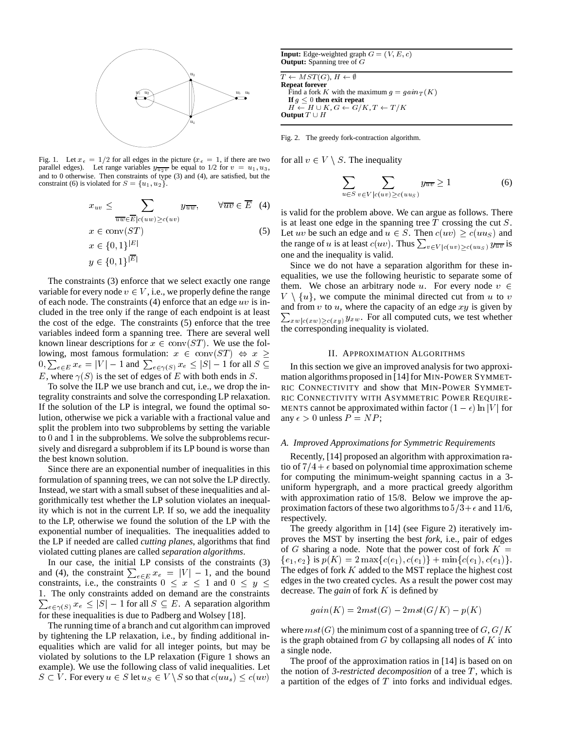

Fig. 1. Let  $x_e = 1/2$  for all edges in the picture ( $x_e = 1$ , if there are two parallel edges). Let range variables  $y_{\overline{u_2v}}$  be equal to 1/2 for  $v = u_1, u_3$ , and to 0 otherwise. Then constraints of type  $(3)$  and  $(4)$ , are satisfied, but the constraint (6) is violated for  $S = \{u_1, u_2\}.$ 

$$
x_{uv} \leq \sum_{\overline{uw} \in \overline{E} | c(uw) \geq c(uv)} y_{\overline{uw}}, \quad \forall \overline{uv} \in \overline{E} \quad (4)
$$
  
\nis val  
\n $x \in \text{conv}(ST)$   
\n $x \in \{0,1\}^{|E|}$   
\n $y \in \{0,1\}^{|E|}$   
\n5) Let  $u$   
\nthe ra  
\none a  
\nSir

The constraints (3) enforce that we select exactly one range variable for every node  $v \in V$ , i.e., we properly define the range of each node. The constraints  $(4)$  enforce that an edge uv is included in the tree only if the range of each endpoint is at least the cost of the edge. The constraints (5) enforce that the tree variables indeed form a spanning tree. There are several well known linear descriptions for  $x \in \text{conv}(ST)$ . We use the following, most famous formulation:  $x \in \text{conv}(ST) \Leftrightarrow x \geq 1$  $0, \sum_{e \in E} x_e = |V| - 1$  and  $\sum_{e \in \gamma(S)} x_e \le |S| - 1$  for all  $S \subseteq \Gamma$  in this se <br>
E, where  $\gamma(S)$  is the set of edges of E with both ends in S. E, where  $\gamma(S)$  is the set of edges of E with both ends in S.

To solve the ILP we use branch and cut, i.e., we drop the integrality constraints and solve the corresponding LP relaxation. If the solution of the LP is integral, we found the optimal solution, otherwise we pick a variable with a fractional value and split the problem into two subproblems by setting the variable to <sup>0</sup> and <sup>1</sup> in the subproblems. We solve the subproblems recursively and disregard a subproblem if its LP bound is worse than the best known solution.

Since there are an exponential number of inequalities in this formulation of spanning trees, we can not solve the LP directly. Instead, we start with a small subset of these inequalities and algorithmically test whether the LP solution violates an inequality which is not in the current LP. If so, we add the inequality to the LP, otherwise we found the solution of the LP with the exponential number of inequalities. The inequalities added to the LP if needed are called *cutting planes*, algorithms that find violated cutting planes are called *separation algorithms*.

In our case, the initial LP consists of the constraints (3) and (4), the constraint  $\sum_{e \in E} x_e = |V| - 1$ , and the bound line edges of constraints, i.e., the constraints  $0 \le x \le 1$  and  $0 \le y \le$  $\sum_{e \in \gamma(S)} x_e \leq |S| - 1$  for all  $S \subseteq E$ . A separation algorithm for these inequalities is due to Padberg and Wolsev [18]. <sup>1</sup>. The only constraints added on demand are the constraints for these inequalities is due to Padberg and Wolsey [18].

The running time of a branch and cut algorithm can improved by tightening the LP relaxation, i.e., by finding additional inequalities which are valid for all integer points, but may be violated by solutions to the LP relaxation (Figure 1 shows an example). We use the following class of valid inequalities. Let  $S \subset V$ . For every  $u \in S$  let  $u_S \in V \backslash S$  so that  $c(uu_s) \leq c(uv)$ 

**Input:** Edge-weighted graph  $G = (V, E, c)$ **Output:** Spanning tree of G

 $\overline{T \leftarrow} MST(G), H \leftarrow \emptyset$ **Repeat forever** Find a fork K with the maximum  $g = gain_T(K)$ **If**  $g \leq 0$  **then exit repeat**  $H \leftarrow H \cup K$ ,  $G \leftarrow G/K$ ,  $T \leftarrow T/K$ **Output**  $T \cup H$ 

Fig. 2. The greedy fork-contraction algorithm.

for all  $v \in V \setminus S$ . The inequality

$$
\sum_{u \in S} \sum_{v \in V | c(uv) \ge c(uu_S)} y_{\overline{uv}} \ge 1 \tag{6}
$$

is valid for the problem above. We can argue as follows. There is at least one edge in the spanning tree  $T$  crossing the cut  $S$ . Let uv be such an edge and  $u \in S$ . Then  $c(uv) \geq c(uu_S)$  and the range of u is at least  $c(uv)$ . Thus  $\sum_{v \in V | c(uv) > c(uu_S)} y_{\overline{uv}}$  is one and the inequality is valid.

Since we do not have a separation algorithm for these inequalities, we use the following heuristic to separate some of them. We chose an arbitrary node u. For every node  $v \in$  $V \setminus \{u\}$ , we compute the minimal directed cut from u to v  $V \setminus \{u\}$ , we compute the minimal directed cut from u to v and from v to u, where the capacity of an edge xy is given by  $\sum_{x \le |c(xw)| > c(xy)} y_{xw}$ . For all computed cuts, we test whether the corresponding inequality is violated.

## II. APPROXIMATION ALGORITHMS

In this section we give an improved analysis for two approximation algorithms proposed in [14] for MIN-POWER SYMMET-RIC CONNECTIVITY and show that MIN-POWER SYMMET-RIC CONNECTIVITY WITH ASYMMETRIC POWER REQUIRE-MENTS cannot be approximated within factor  $(1 - \epsilon) \ln |V|$  for any  $\epsilon > 0$  unless  $P = NP$ ;

# *A. Improved Approximations for Symmetric Requirements*

Recently, [14] proposed an algorithm with approximation ratio of  $7/4 + \epsilon$  based on polynomial time approximation scheme for computing the minimum-weight spanning cactus in a 3 uniform hypergraph, and a more practical greedy algorithm with approximation ratio of 15/8. Below we improve the approximation factors of these two algorithms to  $5/3+\epsilon$  and 11/6, respectively.

The greedy algorithm in [14] (see Figure 2) iteratively improves the MST by inserting the best *fork*, i.e., pair of edges of G sharing a node. Note that the power cost of fork  $K =$  ${e_1, e_2}$  is  $p(K) = 2 \max\{c(e_1), c(e_1)\} + \min\{c(e_1), c(e_1)\}.$ The edges of fork  $K$  added to the MST replace the highest cost edges in the two created cycles. As a result the power cost may decrease. The *gain* of fork <sup>K</sup> is defined by

$$
gain(K) = 2mst(G) - 2mst(G/K) - p(K)
$$

where  $mst(G)$  the minimum cost of a spanning tree of  $G, G/K$ is the graph obtained from  $G$  by collapsing all nodes of  $K$  into a single node.

The proof of the approximation ratios in [14] is based on on the notion of 3-*restricted decomposition* of a tree  $T$ , which is a partition of the edges of  $T$  into forks and individual edges.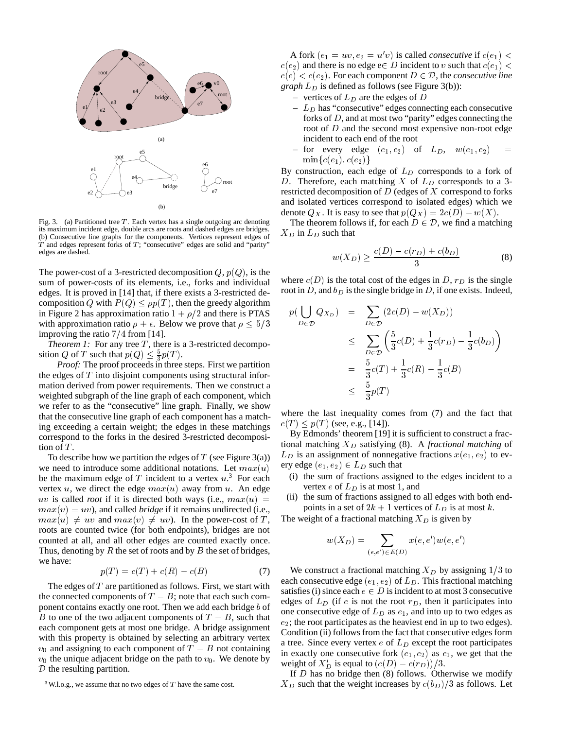

Fig. 3. (a) Partitioned tree  $T$ . Each vertex has a single outgoing arc denoting its maximum incident edge, double arcs are roots and dashed edges are bridges. (b) Consecutive line graphs for the components. Vertices represent edges of  $T$  and edges represent forks of  $T$ ; "consecutive" edges are solid and "parity" edges are dashed.

The power-cost of a 3-restricted decomposition  $Q$ ,  $p(Q)$ , is the sum of power-costs of its elements, i.e., forks and individual edges. It is proved in [14] that, if there exists a 3-restricted decomposition Q with  $P(Q) \leq \rho p(T)$ , then the greedy algorithm in Figure 2 has approximation ratio  $1 + \rho/2$  and there is PTAS with approximation ratio  $\rho + \epsilon$ . Below we prove that  $\rho \leq 5/3$ improving the ratio  $7/4$  from [14].

*Theorem 1:* For any tree  $T$ , there is a 3-restricted decomposition Q of T such that  $p(Q) \leq \frac{5}{3}p(T)$ .

*Proof:* The proof proceeds in three steps. First we partition the edges of  $T$  into disjoint components using structural information derived from power requirements. Then we construct a weighted subgraph of the line graph of each component, which we refer to as the "consecutive" line graph. Finally, we show that the consecutive line graph of each component has a matching exceeding a certain weight; the edges in these matchings correspond to the forks in the desired 3-restricted decomposition of  $T$ .

To describe how we partition the edges of  $T$  (see Figure 3(a)) we need to introduce some additional notations. Let  $max(u)$ be the maximum edge of T incident to a vertex  $u^3$ . For each vertex u, we direct the edge  $max(u)$  away from u. An edge uv is called *root* if it is directed both ways (i.e.,  $max(u) =$  (11) the st  $max(v) = uv$ , and called *bridge* if it remains undirected (i.e.,  $max(u) \neq uv$  and  $max(v) \neq uv$ ). In the power-cost of T, roots are counted twice (for both endpoints), bridges are not counted at all, and all other edges are counted exactly once. Thus, denoting by  $R$  the set of roots and by  $B$  the set of bridges, we have:

$$
p(T) = c(T) + c(R) - c(B)
$$
 (7)

The edges of  $T$  are partitioned as follows. First, we start with the connected components of  $T - B$ ; note that each such component contains exactly one root. Then we add each bridge <sup>b</sup> of B to one of the two adjacent components of  $T - B$ , such that each component gets at most one bridge. A bridge assignment with this property is obtained by selecting an arbitrary vertex  $v_0$  and assigning to each component of  $T - B$  not containing  $v_0$  the unique adjacent bridge on the path to  $v_0$ . We denote by  $D$  the resulting partition.

A fork  $(e_1 = uv, e_2 = u'v)$  is called *consecutive* if  $c(e_1)$  <  $c(e_2)$  and there is no edge e $\in D$  incident to v such that  $c(e_1)$  <  $c(e) < c(e_2)$ . For each component  $D \in \mathcal{D}$ , the *consecutive line graph*  $L<sub>D</sub>$  is defined as follows (see Figure 3(b)):

- vertices of  $L_D$  are the edges of D
- $-L_D$  has "consecutive" edges connecting each consecutive forks of <sup>D</sup>, and at most two "parity" edges connecting the root of <sup>D</sup> and the second most expensive non-root edge incident to each end of the root
- for every edge  $(e_1, e_2)$  of  $L_D$ ,  $w(e_1, e_2)$  $\min\{c(e_1), c(e_2)\}\$

By construction, each edge of  $L<sub>D</sub>$  corresponds to a fork of D. Therefore, each matching X of  $L<sub>D</sub>$  corresponds to a 3restricted decomposition of  $D$  (edges of  $X$  correspond to forks and isolated vertices correspond to isolated edges) which we denote  $Q_X$ . It is easy to see that  $p(Q_X)=2c(D) - w(X)$ .

The theorem follows if, for each  $D \in \mathcal{D}$ , we find a matching  $X_D$  in  $L_D$  such that

$$
w(X_D) \ge \frac{c(D) - c(r_D) + c(b_D)}{3}
$$
 (8)

where  $c(D)$  is the total cost of the edges in D,  $r_D$  is the single root in D, and  $b_D$  is the single bridge in D, if one exists. Indeed,

$$
p(\bigcup_{D \in \mathcal{D}} Q_{X_D}) = \sum_{D \in \mathcal{D}} (2c(D) - w(X_D))
$$
  
\n
$$
\leq \sum_{D \in \mathcal{D}} \left( \frac{5}{3}c(D) + \frac{1}{3}c(r_D) - \frac{1}{3}c(b_D) \right)
$$
  
\n
$$
= \frac{5}{3}c(T) + \frac{1}{3}c(R) - \frac{1}{3}c(B)
$$
  
\n
$$
\leq \frac{5}{2}p(T)
$$

where the last inequality comes from (7) and the fact that  $c(T) \leq p(T)$  (see, e.g., [14]).

By Edmonds' theorem [19] it is sufficient to construct a fractional matching  $X_D$  satisfying (8). A *fractional matching* of  $L_D$  is an assignment of nonnegative fractions  $x(e_1, e_2)$  to every edge  $(e_1, e_2) \in L_D$  such that

- (i) the sum of fractions assigned to the edges incident to a vertex  $e$  of  $L<sub>D</sub>$  is at most 1, and
- (ii) the sum of fractions assigned to all edges with both endpoints in a set of  $2k + 1$  vertices of  $L<sub>D</sub>$  is at most k.

The weight of a fractional matching  $X_D$  is given by

$$
w(X_D) = \sum_{(e,e') \in E(D)} x(e,e')w(e,e')
$$

We construct a fractional matching  $X_D$  by assigning  $1/3$  to each consecutive edge  $(e_1, e_2)$  of  $L_D$ . This fractional matching satisfies (i) since each  $e \in D$  is incident to at most 3 consecutive edges of  $L<sub>D</sub>$  (if e is not the root  $r<sub>D</sub>$ , then it participates into one consecutive edge of  $L<sub>D</sub>$  as  $e<sub>1</sub>$ , and into up to two edges as  $e_2$ ; the root participates as the heaviest end in up to two edges). Condition (ii) follows from the fact that consecutive edges form a tree. Since every vertex  $e$  of  $L<sub>D</sub>$  except the root participates in exactly one consecutive fork  $(e_1, e_2)$  as  $e_1$ , we get that the weight of  $X_D'$  is equal to  $(c(D) - c(r_D))/3$ .

If  $D$  has no bridge then (8) follows. Otherwise we modify  $X_D$  such that the weight increases by  $c(b_D)/3$  as follows. Let

 $3$ W.l.o.g., we assume that no two edges of T have the same cost.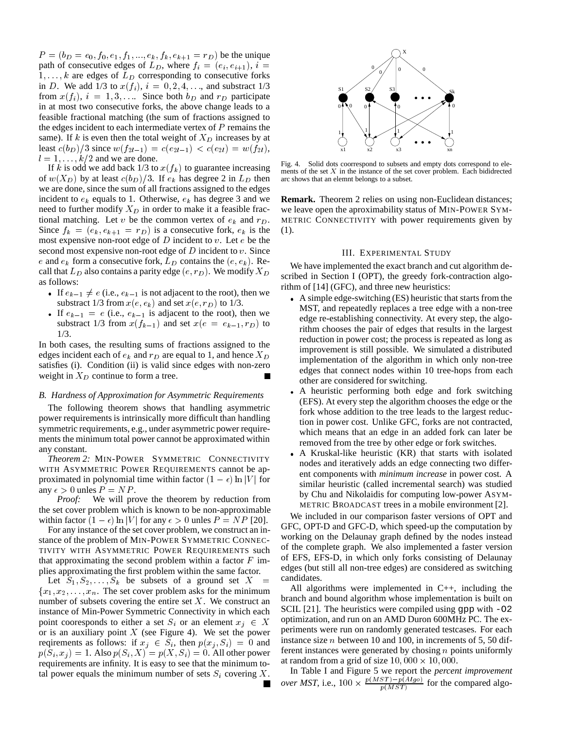$P = (b_D = e_0, f_0, e_1, f_1, ..., e_k, f_k, e_{k+1} = r_D)$  be the unique path of consecutive edges of  $L_D$ , where  $f_i = (e_i, e_{i+1}), i =$  $1, \ldots, k$  are edges of  $L_D$  corresponding to consecutive forks in D. We add 1/3 to  $x(f_i)$ ,  $i = 0, 2, 4, \ldots$ , and substract 1/3 from  $x(f_i)$ ,  $i = 1, 3, \ldots$  Since both  $b_D$  and  $r_D$  participate in at most two consecutive forks, the above change leads to a feasible fractional matching (the sum of fractions assigned to the edges incident to each intermediate vertex of  $P$  remains the same). If  $k$  is even then the total weight of  $X_D$  increases by at least  $c(b_D)/3$  since  $w(f_{2l-1})= c(e_{2l-1}) < c(e_{2l}) = w(f_{2l}),$  $l = 1, \ldots, k/2$  and we are done.

If k is odd we add back  $1/3$  to  $x(f_k)$  to guarantee increasing of  $w(X_D)$  by at least  $c(b_D)/3$ . If  $e_k$  has degree 2 in  $L_D$  then we are done, since the sum of all fractions assigned to the edges incident to  $e_k$  equals to 1. Otherwise,  $e_k$  has degree 3 and we need to further modify  $X_D$  in order to make it a feasible fractional matching. Let v be the common vertex of  $e_k$  and  $r_D$ . Since  $f_k = (e_k, e_{k+1} = r_D)$  is a consecutive fork,  $e_k$  is the most expensive non-root edge of  $D$  incident to  $v$ . Let  $e$  be the second most expensive non-root edge of  $D$  incident to  $v$ . Since e and  $e_k$  form a consecutive fork,  $L_D$  contains the  $(e, e_k)$ . Recall that  $L_D$  also contains a parity edge  $(e, r_D)$ . We modify  $X_D$ as follows:

- If  $e_{k-1} \neq e$  (i.e.,  $e_{k-1}$  is not adjacent to the root), then we substract 1/3 from  $x(e, e_k)$  and set  $x(e, r_D)$  to 1/3.
- If  $e_{k-1} = e$  (i.e.,  $e_{k-1}$  is adjacent to the root), then we substract 1/3 from  $x(f_{k-1})$  and set  $x(e = e_{k-1}, r_D)$  to 1/3.

In both cases, the resulting sums of fractions assigned to the edges incident each of  $e_k$  and  $r_D$  are equal to 1, and hence  $X_D$ satisfies (i). Condition (ii) is valid since edges with non-zero weight in  $X_D$  continue to form a tree.

# *B. Hardness of Approximation for Asymmetric Requirements*

The following theorem shows that handling asymmetric power requirements is intrinsically more difficult than handling symmetric requirements, e.g., under asymmetric power requirements the minimum total power cannot be approximated within any constant.

*Theorem 2:* MIN-POWER SYMMETRIC CONNECTIVITY WITH ASYMMETRIC POWER REQUIREMENTS cannot be approximated in polynomial time within factor  $(1 - \epsilon) \ln |V|$  for any  $\epsilon > 0$  unles  $P = NP$ .

*Proof:* We will prove the theorem by reduction from the set cover problem which is known to be non-approximable within factor  $(1 - \epsilon) \ln |V|$  for any  $\epsilon > 0$  unles  $P = NP$  [20].

For any instance of the set cover problem, we construct an instance of the problem of MIN-POWER SYMMETRIC CONNEC-TIVITY WITH ASYMMETRIC POWER REQUIREMENTS such that approximating the second problem within a factor  $F$  implies approximating the first problem within the same factor.

Let  $S_1, S_2, \ldots, S_k$  be subsets of a ground set X  ${x_1, x_2,...,x_n}$ . The set cover problem asks for the minimum number of subsets covering the entire set  $X$ . We construct an instance of Min-Power Symmetric Connectivity in which each point cooresponds to either a set  $S_i$  or an element  $x_j \in X$ or is an auxiliary point  $X$  (see Figure 4). We set the power reqirements as follows: if  $x_j \in S_i$ , then  $p(x_j, S_i) = 0$  and  $p(S_i, x_j) = 1$ . Also  $p(S_i, X) = p(X, S_i) = 0$ . All other power requirements are infinity. It is easy to see that the minimum total power equals the minimum number of sets  $S_i$  covering X.



Fig. 4. Solid dots coorrespond to subsets and empty dots correspond to elements of the set  $X$  in the instance of the set cover problem. Each bididrected arc shows that an elemnt belongs to a subset.

**Remark.** Theorem 2 relies on using non-Euclidean distances; we leave open the aproximability status of MIN-POWER SYM-METRIC CONNECTIVITY with power requirements given by (1).

# III. EXPERIMENTAL STUDY

We have implemented the exact branch and cut algorithm described in Section I (OPT), the greedy fork-contraction algorithm of [14] (GFC), and three new heuristics:

- A simple edge-switching (ES) heuristic that starts from the MST, and repeatedly replaces a tree edge with a non-tree edge re-establishing connectivity. At every step, the algorithm chooses the pair of edges that results in the largest reduction in power cost; the process is repeated as long as improvement is still possible. We simulated a distributed implementation of the algorithm in which only non-tree edges that connect nodes within 10 tree-hops from each other are considered for switching.
- A heuristic performing both edge and fork switching (EFS). At every step the algorithm chooses the edge or the fork whose addition to the tree leads to the largest reduction in power cost. Unlike GFC, forks are not contracted, which means that an edge in an added fork can later be removed from the tree by other edge or fork switches.
- A Kruskal-like heuristic (KR) that starts with isolated nodes and iteratively adds an edge connecting two different components with *minimum increase* in power cost. A similar heuristic (called incremental search) was studied by Chu and Nikolaidis for computing low-power ASYM-METRIC BROADCAST trees in a mobile environment [2].

We included in our comparison faster versions of OPT and GFC, OPT-D and GFC-D, which speed-up the computation by working on the Delaunay graph defined by the nodes instead of the complete graph. We also implemented a faster version of EFS, EFS-D, in which only forks consisting of Delaunay edges (but still all non-tree edges) are considered as switching candidates.

All algorithms were implemented in C++, including the branch and bound algorithm whose implementation is built on SCIL [21]. The heuristics were compiled using gpp with -O2 optimization, and run on an AMD Duron 600MHz PC. The experiments were run on randomly generated testcases. For each instance size <sup>n</sup> between 10 and 100, in increments of 5, 50 different instances were generated by chosing  $n$  points uniformly at random from a grid of size  $10,000 \times 10,000$ .

In Table I and Figure 5 we report the *percent improvement over MST*, i.e.,  $100 \times \frac{p(MST) - p(Algo)}{p(MST)}$  for the compared algo-